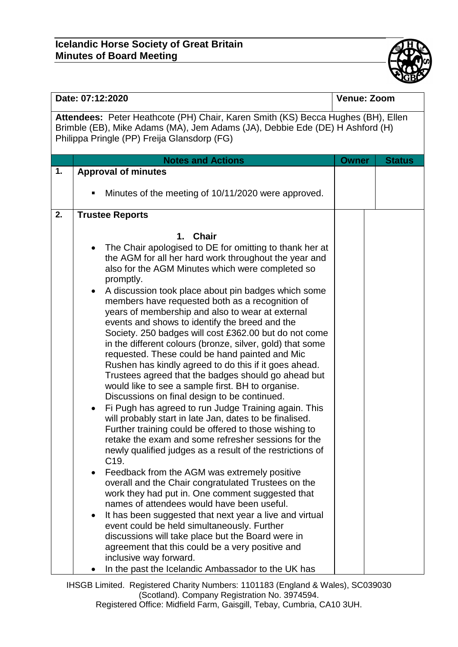

| Date: 07:12:2020                                                                                                                                                                                                |                                                                                                                                                                                                                                                                                                                                                                                                                                                                                                                                                                                                                                                                                                                                                                                                                                                                                                                                                                                                                                                                                                                                                                                                                                                                                                                                                                                                                                                                                                                                                                                                                                                                                                                        | <b>Venue: Zoom</b> |               |  |  |  |  |
|-----------------------------------------------------------------------------------------------------------------------------------------------------------------------------------------------------------------|------------------------------------------------------------------------------------------------------------------------------------------------------------------------------------------------------------------------------------------------------------------------------------------------------------------------------------------------------------------------------------------------------------------------------------------------------------------------------------------------------------------------------------------------------------------------------------------------------------------------------------------------------------------------------------------------------------------------------------------------------------------------------------------------------------------------------------------------------------------------------------------------------------------------------------------------------------------------------------------------------------------------------------------------------------------------------------------------------------------------------------------------------------------------------------------------------------------------------------------------------------------------------------------------------------------------------------------------------------------------------------------------------------------------------------------------------------------------------------------------------------------------------------------------------------------------------------------------------------------------------------------------------------------------------------------------------------------------|--------------------|---------------|--|--|--|--|
| Attendees: Peter Heathcote (PH) Chair, Karen Smith (KS) Becca Hughes (BH), Ellen<br>Brimble (EB), Mike Adams (MA), Jem Adams (JA), Debbie Ede (DE) H Ashford (H)<br>Philippa Pringle (PP) Freija Glansdorp (FG) |                                                                                                                                                                                                                                                                                                                                                                                                                                                                                                                                                                                                                                                                                                                                                                                                                                                                                                                                                                                                                                                                                                                                                                                                                                                                                                                                                                                                                                                                                                                                                                                                                                                                                                                        |                    |               |  |  |  |  |
|                                                                                                                                                                                                                 | <b>Notes and Actions</b>                                                                                                                                                                                                                                                                                                                                                                                                                                                                                                                                                                                                                                                                                                                                                                                                                                                                                                                                                                                                                                                                                                                                                                                                                                                                                                                                                                                                                                                                                                                                                                                                                                                                                               | <b>Owner</b>       | <b>Status</b> |  |  |  |  |
| 1.                                                                                                                                                                                                              | <b>Approval of minutes</b>                                                                                                                                                                                                                                                                                                                                                                                                                                                                                                                                                                                                                                                                                                                                                                                                                                                                                                                                                                                                                                                                                                                                                                                                                                                                                                                                                                                                                                                                                                                                                                                                                                                                                             |                    |               |  |  |  |  |
|                                                                                                                                                                                                                 | Minutes of the meeting of 10/11/2020 were approved.<br>п                                                                                                                                                                                                                                                                                                                                                                                                                                                                                                                                                                                                                                                                                                                                                                                                                                                                                                                                                                                                                                                                                                                                                                                                                                                                                                                                                                                                                                                                                                                                                                                                                                                               |                    |               |  |  |  |  |
| 2.                                                                                                                                                                                                              | <b>Trustee Reports</b>                                                                                                                                                                                                                                                                                                                                                                                                                                                                                                                                                                                                                                                                                                                                                                                                                                                                                                                                                                                                                                                                                                                                                                                                                                                                                                                                                                                                                                                                                                                                                                                                                                                                                                 |                    |               |  |  |  |  |
|                                                                                                                                                                                                                 | <b>Chair</b><br>1.<br>The Chair apologised to DE for omitting to thank her at<br>$\bullet$<br>the AGM for all her hard work throughout the year and<br>also for the AGM Minutes which were completed so<br>promptly.<br>A discussion took place about pin badges which some<br>$\bullet$<br>members have requested both as a recognition of<br>years of membership and also to wear at external<br>events and shows to identify the breed and the<br>Society. 250 badges will cost £362.00 but do not come<br>in the different colours (bronze, silver, gold) that some<br>requested. These could be hand painted and Mic<br>Rushen has kindly agreed to do this if it goes ahead.<br>Trustees agreed that the badges should go ahead but<br>would like to see a sample first. BH to organise.<br>Discussions on final design to be continued.<br>Fi Pugh has agreed to run Judge Training again. This<br>$\bullet$<br>will probably start in late Jan, dates to be finalised.<br>Further training could be offered to those wishing to<br>retake the exam and some refresher sessions for the<br>newly qualified judges as a result of the restrictions of<br>C <sub>19</sub> .<br>Feedback from the AGM was extremely positive<br>$\bullet$<br>overall and the Chair congratulated Trustees on the<br>work they had put in. One comment suggested that<br>names of attendees would have been useful.<br>It has been suggested that next year a live and virtual<br>$\bullet$<br>event could be held simultaneously. Further<br>discussions will take place but the Board were in<br>agreement that this could be a very positive and<br>inclusive way forward.<br>In the past the Icelandic Ambassador to the UK has |                    |               |  |  |  |  |

IHSGB Limited. Registered Charity Numbers: 1101183 (England & Wales), SC039030 (Scotland). Company Registration No. 3974594. Registered Office: Midfield Farm, Gaisgill, Tebay, Cumbria, CA10 3UH.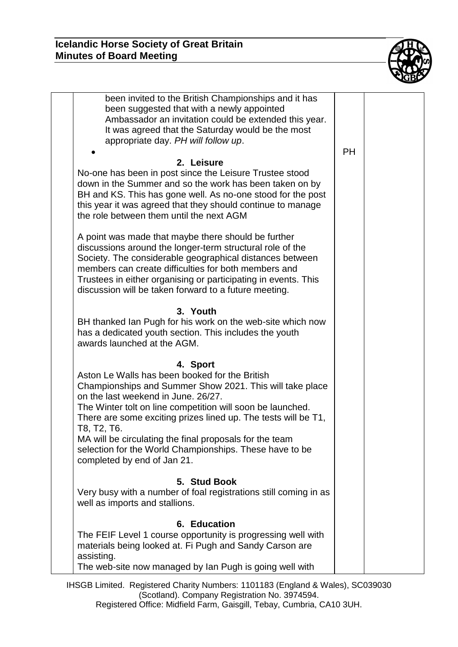

| been invited to the British Championships and it has                                                             |           |  |
|------------------------------------------------------------------------------------------------------------------|-----------|--|
| been suggested that with a newly appointed                                                                       |           |  |
| Ambassador an invitation could be extended this year.                                                            |           |  |
| It was agreed that the Saturday would be the most                                                                |           |  |
| appropriate day. PH will follow up.                                                                              |           |  |
|                                                                                                                  | <b>PH</b> |  |
| 2. Leisure                                                                                                       |           |  |
| No-one has been in post since the Leisure Trustee stood                                                          |           |  |
| down in the Summer and so the work has been taken on by                                                          |           |  |
| BH and KS. This has gone well. As no-one stood for the post                                                      |           |  |
| this year it was agreed that they should continue to manage                                                      |           |  |
| the role between them until the next AGM                                                                         |           |  |
|                                                                                                                  |           |  |
| A point was made that maybe there should be further<br>discussions around the longer-term structural role of the |           |  |
| Society. The considerable geographical distances between                                                         |           |  |
| members can create difficulties for both members and                                                             |           |  |
| Trustees in either organising or participating in events. This                                                   |           |  |
| discussion will be taken forward to a future meeting.                                                            |           |  |
|                                                                                                                  |           |  |
| 3. Youth                                                                                                         |           |  |
| BH thanked Ian Pugh for his work on the web-site which now                                                       |           |  |
| has a dedicated youth section. This includes the youth                                                           |           |  |
| awards launched at the AGM.                                                                                      |           |  |
|                                                                                                                  |           |  |
| 4. Sport                                                                                                         |           |  |
| Aston Le Walls has been booked for the British                                                                   |           |  |
| Championships and Summer Show 2021. This will take place<br>on the last weekend in June. 26/27.                  |           |  |
| The Winter tolt on line competition will soon be launched.                                                       |           |  |
| There are some exciting prizes lined up. The tests will be T1,                                                   |           |  |
| T8, T2, T6.                                                                                                      |           |  |
| MA will be circulating the final proposals for the team                                                          |           |  |
| selection for the World Championships. These have to be                                                          |           |  |
| completed by end of Jan 21.                                                                                      |           |  |
|                                                                                                                  |           |  |
| 5. Stud Book                                                                                                     |           |  |
| Very busy with a number of foal registrations still coming in as                                                 |           |  |
| well as imports and stallions.                                                                                   |           |  |
|                                                                                                                  |           |  |
| 6. Education                                                                                                     |           |  |
| The FEIF Level 1 course opportunity is progressing well with                                                     |           |  |
| materials being looked at. Fi Pugh and Sandy Carson are<br>assisting.                                            |           |  |
| The web-site now managed by lan Pugh is going well with                                                          |           |  |
|                                                                                                                  |           |  |

IHSGB Limited. Registered Charity Numbers: 1101183 (England & Wales), SC039030 (Scotland). Company Registration No. 3974594. Registered Office: Midfield Farm, Gaisgill, Tebay, Cumbria, CA10 3UH.